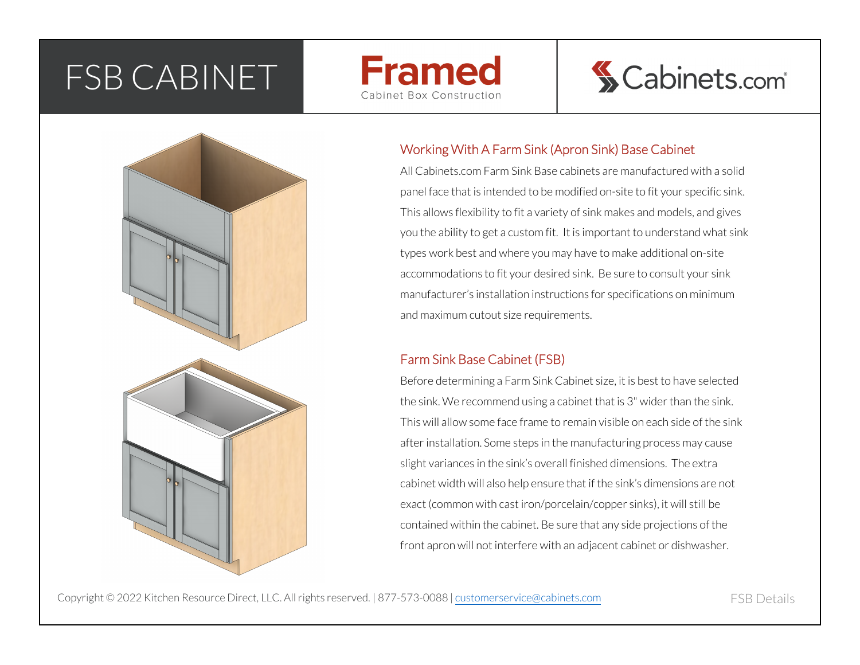## FSB CABINET







### Working With A Farm Sink (Apron Sink) Base Cabinet

All Cabinets.com Farm Sink Base cabinets are manufactured with a solid panel face that is intended to be modified on-site to fit your specific sink. This allows flexibility to fit a variety of sink makes and models, and gives you the ability to get a custom fit. It is important to understand what sink types work best and where you may have to make additional on-site accommodations to fit your desired sink. Be sure to consult your sink manufacturer's installation instructions for specifications on minimum and maximum cutout size requirements.

#### Farm Sink Base Cabinet (FSB)

Before determining a Farm Sink Cabinet size, it is best to have selected the sink. We recommend using a cabinet that is 3" wider than the sink. This will allow some face frame to remain visible on each side of the sink after installation. Some steps in the manufacturing process may cause slight variances in the sink's overall finished dimensions. The extra cabinet width will also help ensure that if the sink's dimensions are not exact (common with cast iron/porcelain/copper sinks), it will still be contained within the cabinet. Be sure that any side projections of the front apron will not interfere with an adjacent cabinet or dishwasher.

Copyright © 2022 Kitchen Resource Direct, LLC. All rights reserved. | 877-573-0088 | <u>customerservice@cabinets.com</u><br>.